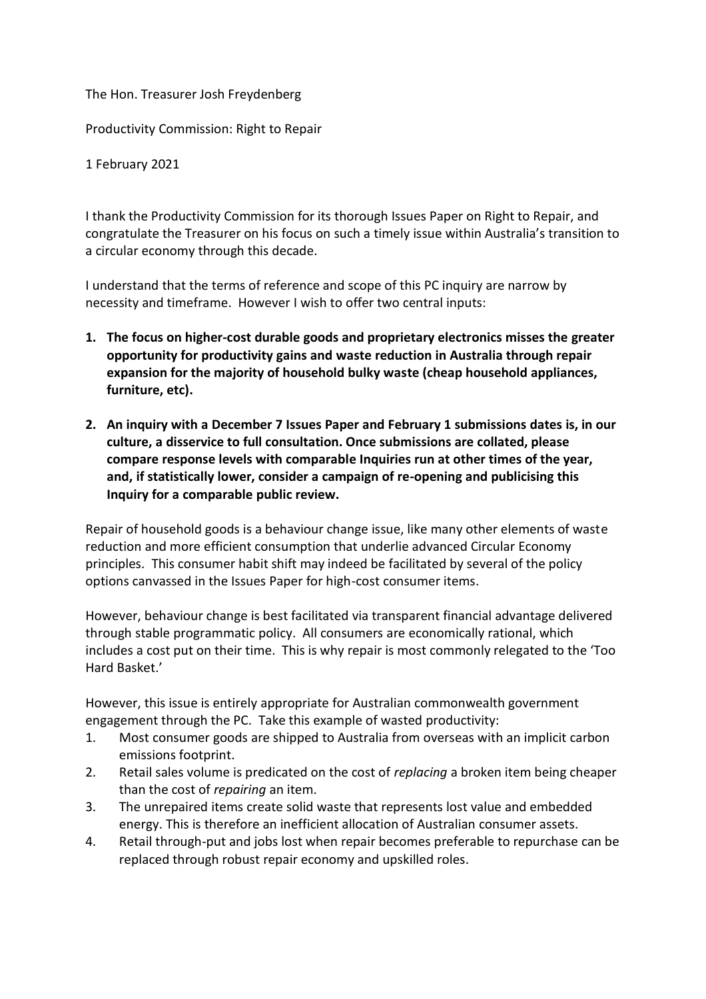## The Hon. Treasurer Josh Freydenberg

Productivity Commission: Right to Repair

1 February 2021

I thank the Productivity Commission for its thorough Issues Paper on Right to Repair, and congratulate the Treasurer on his focus on such a timely issue within Australia's transition to a circular economy through this decade.

I understand that the terms of reference and scope of this PC inquiry are narrow by necessity and timeframe. However I wish to offer two central inputs:

- **1. The focus on higher-cost durable goods and proprietary electronics misses the greater opportunity for productivity gains and waste reduction in Australia through repair expansion for the majority of household bulky waste (cheap household appliances, furniture, etc).**
- **2. An inquiry with a December 7 Issues Paper and February 1 submissions dates is, in our culture, a disservice to full consultation. Once submissions are collated, please compare response levels with comparable Inquiries run at other times of the year, and, if statistically lower, consider a campaign of re-opening and publicising this Inquiry for a comparable public review.**

Repair of household goods is a behaviour change issue, like many other elements of waste reduction and more efficient consumption that underlie advanced Circular Economy principles. This consumer habit shift may indeed be facilitated by several of the policy options canvassed in the Issues Paper for high-cost consumer items.

However, behaviour change is best facilitated via transparent financial advantage delivered through stable programmatic policy. All consumers are economically rational, which includes a cost put on their time. This is why repair is most commonly relegated to the 'Too Hard Basket.'

However, this issue is entirely appropriate for Australian commonwealth government engagement through the PC. Take this example of wasted productivity:

- 1. Most consumer goods are shipped to Australia from overseas with an implicit carbon emissions footprint.
- 2. Retail sales volume is predicated on the cost of *replacing* a broken item being cheaper than the cost of *repairing* an item.
- 3. The unrepaired items create solid waste that represents lost value and embedded energy. This is therefore an inefficient allocation of Australian consumer assets.
- 4. Retail through-put and jobs lost when repair becomes preferable to repurchase can be replaced through robust repair economy and upskilled roles.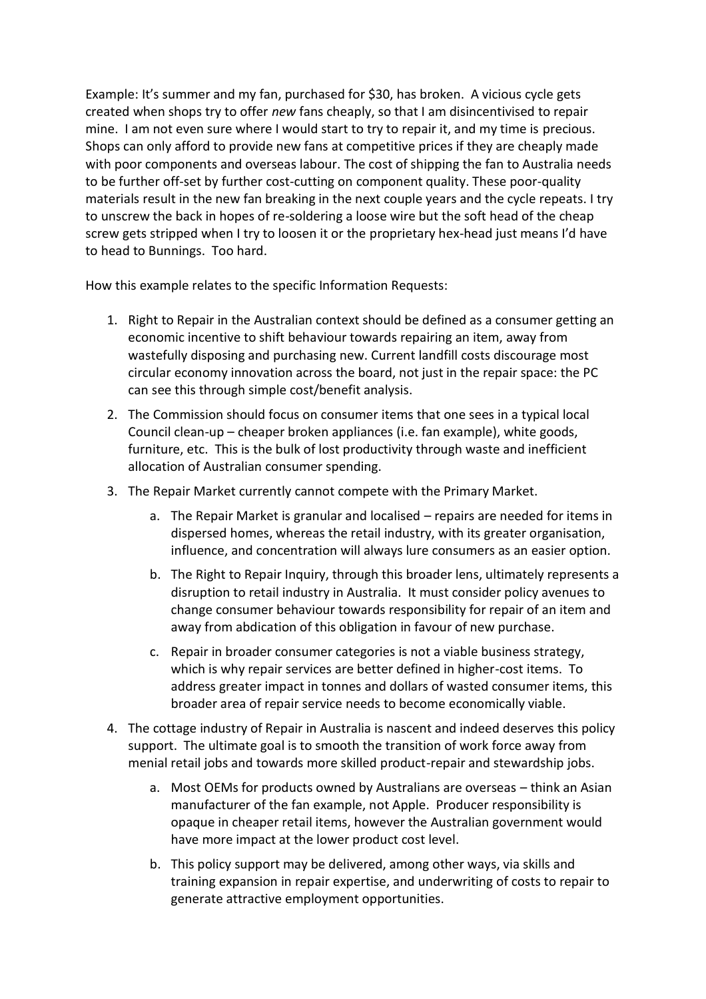Example: It's summer and my fan, purchased for \$30, has broken. A vicious cycle gets created when shops try to offer *new* fans cheaply, so that I am disincentivised to repair mine. I am not even sure where I would start to try to repair it, and my time is precious. Shops can only afford to provide new fans at competitive prices if they are cheaply made with poor components and overseas labour. The cost of shipping the fan to Australia needs to be further off-set by further cost-cutting on component quality. These poor-quality materials result in the new fan breaking in the next couple years and the cycle repeats. I try to unscrew the back in hopes of re-soldering a loose wire but the soft head of the cheap screw gets stripped when I try to loosen it or the proprietary hex-head just means I'd have to head to Bunnings. Too hard.

How this example relates to the specific Information Requests:

- 1. Right to Repair in the Australian context should be defined as a consumer getting an economic incentive to shift behaviour towards repairing an item, away from wastefully disposing and purchasing new. Current landfill costs discourage most circular economy innovation across the board, not just in the repair space: the PC can see this through simple cost/benefit analysis.
- 2. The Commission should focus on consumer items that one sees in a typical local Council clean-up – cheaper broken appliances (i.e. fan example), white goods, furniture, etc. This is the bulk of lost productivity through waste and inefficient allocation of Australian consumer spending.
- 3. The Repair Market currently cannot compete with the Primary Market.
	- a. The Repair Market is granular and localised repairs are needed for items in dispersed homes, whereas the retail industry, with its greater organisation, influence, and concentration will always lure consumers as an easier option.
	- b. The Right to Repair Inquiry, through this broader lens, ultimately represents a disruption to retail industry in Australia. It must consider policy avenues to change consumer behaviour towards responsibility for repair of an item and away from abdication of this obligation in favour of new purchase.
	- c. Repair in broader consumer categories is not a viable business strategy, which is why repair services are better defined in higher-cost items. To address greater impact in tonnes and dollars of wasted consumer items, this broader area of repair service needs to become economically viable.
- 4. The cottage industry of Repair in Australia is nascent and indeed deserves this policy support. The ultimate goal is to smooth the transition of work force away from menial retail jobs and towards more skilled product-repair and stewardship jobs.
	- a. Most OEMs for products owned by Australians are overseas think an Asian manufacturer of the fan example, not Apple. Producer responsibility is opaque in cheaper retail items, however the Australian government would have more impact at the lower product cost level.
	- b. This policy support may be delivered, among other ways, via skills and training expansion in repair expertise, and underwriting of costs to repair to generate attractive employment opportunities.